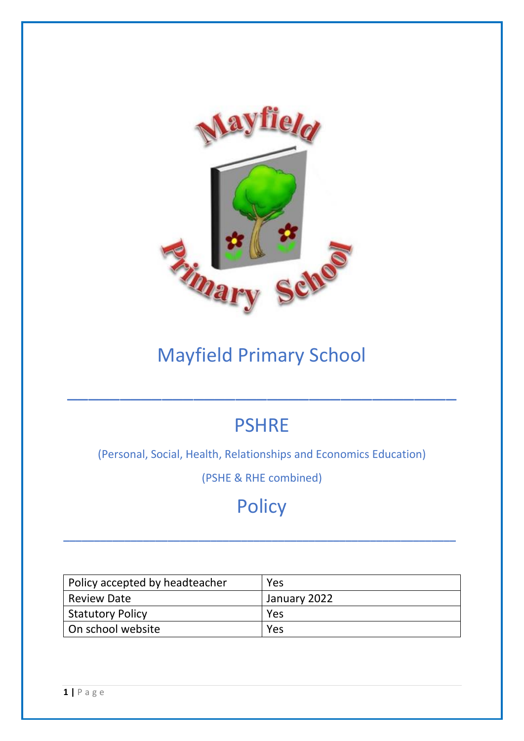

# Mayfield Primary School

# **PSHRE**

 $\overline{\phantom{a}}$  , and the contract of the contract of the contract of the contract of the contract of the contract of the contract of the contract of the contract of the contract of the contract of the contract of the contrac

(Personal, Social, Health, Relationships and Economics Education)

(PSHE & RHE combined)

# **Policy**

**\_\_\_\_\_\_\_\_\_\_\_\_\_\_\_\_\_\_\_\_\_\_\_\_\_\_\_\_\_\_\_\_\_\_\_\_\_\_\_\_\_\_\_\_\_\_\_\_\_\_\_\_\_\_\_\_\_\_\_\_\_\_\_\_**

| Policy accepted by headteacher | <b>Yes</b>   |  |  |  |  |  |  |
|--------------------------------|--------------|--|--|--|--|--|--|
| <b>Review Date</b>             | January 2022 |  |  |  |  |  |  |
| Statutory Policy               | <b>Yes</b>   |  |  |  |  |  |  |
| On school website              | <b>Yes</b>   |  |  |  |  |  |  |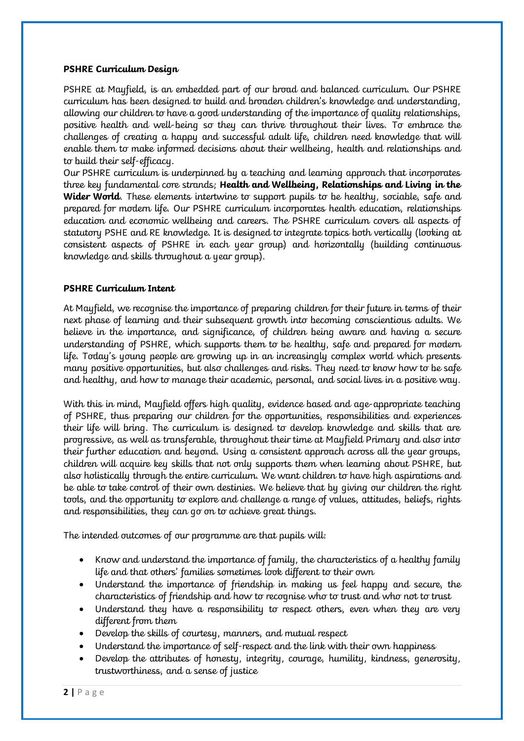#### **PSHRE Curriculum Design**

PSHRE at Mayfield, is an embedded part of our broad and balanced curriculum. Our PSHRE curriculum has been designed to build and broaden children's knowledge and understanding, allowing our children to have a good understanding of the importance of quality relationships, positive health and well-being so they can thrive throughout their lives. To embrace the challenges of creating a happy and successful adult life, children need knowledge that will enable them to make informed decisions about their wellbeing, health and relationships and to build their self-efficacy.

Our PSHRE curriculum is underpinned by a teaching and learning approach that incorporates three key fundamental core strands; **Health and Wellbeing, Relationships and Living in the Wider World**. These elements intertwine to support pupils to be healthy, sociable, safe and prepared for modern life. Our PSHRE curriculum incorporates health education, relationships education and economic wellbeing and careers. The PSHRE curriculum covers all aspects of statutory PSHE and RE knowledge. It is designed to integrate topics both vertically (looking at consistent aspects of PSHRE in each year group) and horizontally (building continuous knowledge and skills throughout a year group).

### **PSHRE Curriculum Intent**

At Mayfield, we recognise the importance of preparing children for their future in terms of their next phase of learning and their subsequent growth into becoming conscientious adults. We believe in the importance, and significance, of children being aware and having a secure understanding of PSHRE, which supports them to be healthy, safe and prepared for modern life. Today's young people are growing up in an increasingly complex world which presents many positive opportunities, but also challenges and risks. They need to know how to be safe and healthy, and how to manage their academic, personal, and social lives in a positive way.

With this in mind, Mayfield offers high quality, evidence based and age-appropriate teaching of PSHRE, thus preparing our children for the opportunities, responsibilities and experiences their life will bring. The curriculum is designed to develop knowledge and skills that are progressive, as well as transferable, throughout their time at Mayfield Primary and also into their further education and beyond. Using a consistent approach across all the year groups, children will acquire key skills that not only supports them when learning about PSHRE, but also holistically through the entire curriculum. We want children to have high aspirations and be able to take control of their own destinies. We believe that by giving our children the right tools, and the opportunity to explore and challenge a range of values, attitudes, beliefs, rights and responsibilities, they can go on to achieve great things.

The intended outcomes of our programme are that pupils will:

- Know and understand the importance of family, the characteristics of a healthy family life and that others' families sometimes look different to their own
- Understand the importance of friendship in making us feel happy and secure, the characteristics of friendship and how to recognise who to trust and who not to trust
- Understand they have a responsibility to respect others, even when they are very different from them
- Develop the skills of courtesy, manners, and mutual respect
- Understand the importance of self-respect and the link with their own happiness
- Develop the attributes of honesty, integrity, courage, humility, kindness, generosity, trustworthiness, and a sense of justice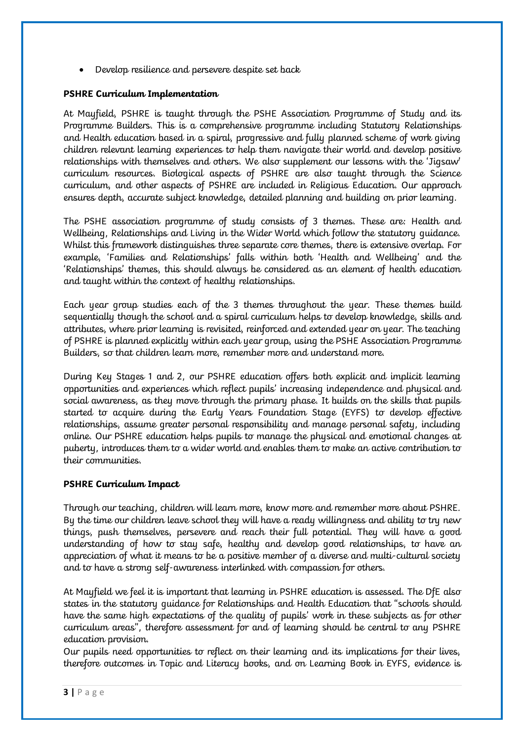• Develop resilience and persevere despite set back

#### **PSHRE Curriculum Implementation**

At Mayfield, PSHRE is taught through the PSHE Association Programme of Study and its Programme Builders. This is a comprehensive programme including Statutory Relationships and Health education based in a spiral, progressive and fully planned scheme of work giving children relevant learning experiences to help them navigate their world and develop positive relationships with themselves and others. We also supplement our lessons with the 'Jigsaw' curriculum resources. Biological aspects of PSHRE are also taught through the Science curriculum, and other aspects of PSHRE are included in Religious Education. Our approach ensures depth, accurate subject knowledge, detailed planning and building on prior learning.

The PSHE association programme of study consists of 3 themes. These are: Health and Wellbeing, Relationships and Living in the Wider World which follow the statutory guidance. Whilst this framework distinguishes three separate core themes, there is extensive overlap. For example, 'Families and Relationships' falls within both 'Health and Wellbeing' and the 'Relationships' themes, this should always be considered as an element of health education and taught within the context of healthy relationships.

Each year group studies each of the 3 themes throughout the year. These themes build sequentially though the school and a spiral curriculum helps to develop knowledge, skills and attributes, where prior learning is revisited, reinforced and extended year on year. The teaching of PSHRE is planned explicitly within each year group, using the PSHE Association Programme Builders, so that children learn more, remember more and understand more.

During Key Stages 1 and 2, our PSHRE education offers both explicit and implicit learning opportunities and experiences which reflect pupils' increasing independence and physical and social awareness, as they move through the primary phase. It builds on the skills that pupils started to acquire during the Early Years Foundation Stage (EYFS) to develop effective relationships, assume greater personal responsibility and manage personal safety, including online. Our PSHRE education helps pupils to manage the physical and emotional changes at puberty, introduces them to a wider world and enables them to make an active contribution to their communities.

### **PSHRE Curriculum Impact**

Through our teaching, children will learn more, know more and remember more about PSHRE. By the time our children leave school they will have a ready willingness and ability to try new things, push themselves, persevere and reach their full potential. They will have a good understanding of how to stay safe, healthy and develop good relationships, to have an appreciation of what it means to be a positive member of a diverse and multi-cultural society and to have a strong self-awareness interlinked with compassion for others.

At Mayfield we feel it is important that learning in PSHRE education is assessed. The DfE also states in the statutory guidance for Relationships and Health Education that "schools should have the same high expectations of the quality of pupils' work in these subjects as for other curriculum areas", therefore assessment for and of learning should be central to any PSHRE education provision.

Our pupils need opportunities to reflect on their learning and its implications for their lives, therefore outcomes in Topic and Literacy books, and on Learning Book in EYFS, evidence is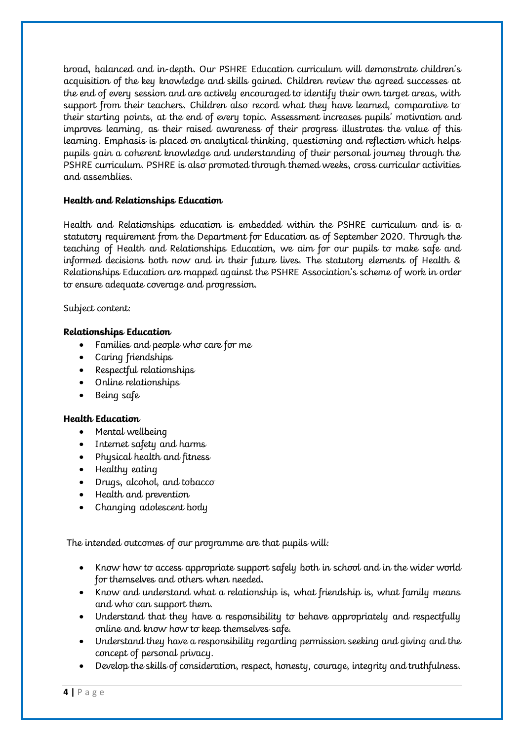broad, balanced and in-depth. Our PSHRE Education curriculum will demonstrate children's acquisition of the key knowledge and skills gained. Children review the agreed successes at the end of every session and are actively encouraged to identify their own target areas, with support from their teachers. Children also record what they have learned, comparative to their starting points, at the end of every topic. Assessment increases pupils' motivation and improves learning, as their raised awareness of their progress illustrates the value of this learning. Emphasis is placed on analytical thinking, questioning and reflection which helps pupils gain a coherent knowledge and understanding of their personal journey through the PSHRE curriculum. PSHRE is also promoted through themed weeks, cross curricular activities and assemblies.

### **Health and Relationships Education**

Health and Relationships education is embedded within the PSHRE curriculum and is a statutory requirement from the Department for Education as of September 2020. Through the teaching of Health and Relationships Education, we aim for our pupils to make safe and informed decisions both now and in their future lives. The statutory elements of Health & Relationships Education are mapped against the PSHRE Association's scheme of work in order to ensure adequate coverage and progression.

Subject content:

### **Relationships Education**

- Families and people who care for me
- Caring friendships
- Respectful relationships
- Online relationships
- Being safe

### **Health Education**

- Mental wellbeing
- Internet safety and harms
- Physical health and fitness
- Healthy eating
- Drugs, alcohol, and tobacco
- Health and prevention
- Changing adolescent body

The intended outcomes of our programme are that pupils will:

- Know how to access appropriate support safely both in school and in the wider world for themselves and others when needed.
- Know and understand what a relationship is, what friendship is, what family means and who can support them.
- Understand that they have a responsibility to behave appropriately and respectfully online and know how to keep themselves safe.
- Understand they have a responsibility regarding permission seeking and giving and the concept of personal privacy.
- Develop the skills of consideration, respect, honesty, courage, integrity and truthfulness.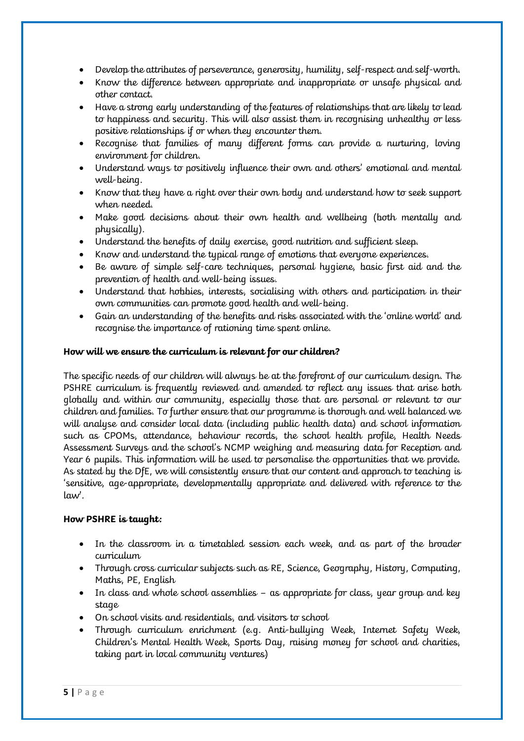- Develop the attributes of perseverance, generosity, humility, self-respect and self-worth.
- Know the difference between appropriate and inappropriate or unsafe physical and other contact.
- Have a strong early understanding of the features of relationships that are likely to lead to happiness and security. This will also assist them in recognising unhealthy or less positive relationships if or when they encounter them.
- Recognise that families of many different forms can provide a nurturing, loving environment for children.
- Understand ways to positively influence their own and others' emotional and mental well-being.
- Know that they have a right over their own body and understand how to seek support when needed.
- Make good decisions about their own health and wellbeing (both mentally and physically).
- Understand the benefits of daily exercise, good nutrition and sufficient sleep.
- Know and understand the typical range of emotions that everyone experiences.
- Be aware of simple self-care techniques, personal hygiene, basic first aid and the prevention of health and well-being issues.
- Understand that hobbies, interests, socialising with others and participation in their own communities can promote good health and well-being.
- Gain an understanding of the benefits and risks associated with the 'online world' and recognise the importance of rationing time spent online.

## **How will we ensure the curriculum is relevant for our children?**

The specific needs of our children will always be at the forefront of our curriculum design. The PSHRE curriculum is frequently reviewed and amended to reflect any issues that arise both globally and within our community, especially those that are personal or relevant to our children and families. To further ensure that our programme is thorough and well balanced we will analyse and consider local data (including public health data) and school information such as CPOMs, attendance, behaviour records, the school health profile, Health Needs Assessment Surveys and the school's NCMP weighing and measuring data for Reception and Year 6 pupils. This information will be used to personalise the opportunities that we provide. As stated by the DfE, we will consistently ensure that our content and approach to teaching is 'sensitive, age-appropriate, developmentally appropriate and delivered with reference to the law'.

# **How PSHRE is taught:**

- In the classroom in a timetabled session each week, and as part of the broader curriculum
- Through cross curricular subjects such as RE, Science, Geography, History, Computing, Maths, PE, English
- In class and whole school assemblies as appropriate for class, year group and key stage
- On school visits and residentials, and visitors to school
- Through curriculum enrichment (e.g. Anti-bullying Week, Internet Safety Week, Children's Mental Health Week, Sports Day, raising money for school and charities, taking part in local community ventures)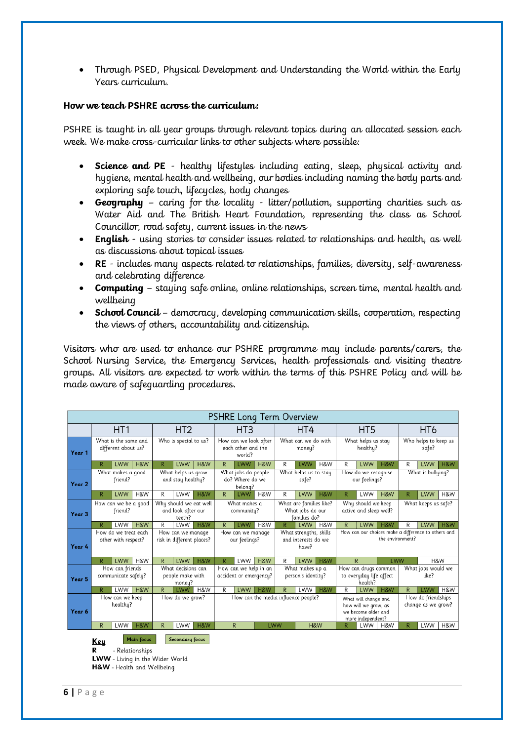• Through PSED, Physical Development and Understanding the World within the Early Years curriculum.

#### **How we teach PSHRE across the curriculum:**

PSHRE is taught in all year groups through relevant topics during an allocated session each week. We make cross-curricular links to other subjects where possible:

- **Science and PE** healthy lifestyles including eating, sleep, physical activity and hygiene, mental health and wellbeing, our bodies including naming the body parts and exploring safe touch, lifecycles, body changes
- **Geography** caring for the locality litter/pollution, supporting charities such as Water Aid and The British Heart Foundation, representing the class as School Councillor, road safety, current issues in the news
- **English** using stories to consider issues related to relationships and health, as well as discussions about topical issues
- **RE** includes many aspects related to relationships, families, diversity, self-awareness and celebrating difference
- **Computing**  staying safe online, online relationships, screen time, mental health and wellbeing
- **School Council** democracy, developing communication skills, cooperation, respecting the views of others, accountability and citizenship.

Visitors who are used to enhance our PSHRE programme may include parents/carers, the School Nursing Service, the Emergency Services, health professionals and visiting theatre groups. All visitors are expected to work within the terms of this PSHRE Policy and will be made aware of safeguarding procedures.

| <b>PSHRE Long Term Overview</b> |                                             |                                                           |                                                  |                                                        |                        |                                                 |                                                       |                                                        |                                       |                                                             |                                                                         |                                                            |                                                                                          |              |                             |                                          |     |     |
|---------------------------------|---------------------------------------------|-----------------------------------------------------------|--------------------------------------------------|--------------------------------------------------------|------------------------|-------------------------------------------------|-------------------------------------------------------|--------------------------------------------------------|---------------------------------------|-------------------------------------------------------------|-------------------------------------------------------------------------|------------------------------------------------------------|------------------------------------------------------------------------------------------|--------------|-----------------------------|------------------------------------------|-----|-----|
|                                 | HT <sub>1</sub>                             |                                                           |                                                  | HT <sub>2</sub>                                        |                        |                                                 | HT <sub>3</sub>                                       |                                                        |                                       | HT4                                                         |                                                                         |                                                            | HT <sub>5</sub>                                                                          |              |                             | HT <sub>6</sub>                          |     |     |
| Year 1                          | What is the same and<br>different about us? |                                                           |                                                  | Who is special to us?                                  |                        |                                                 | How can we look after<br>each other and the<br>world? |                                                        |                                       | What can we do with<br>money?                               |                                                                         |                                                            | What helps us stay<br>healthy?                                                           |              |                             | Who helps to keep us<br>safe?            |     |     |
|                                 |                                             | LWW                                                       | H&W                                              | R                                                      | LWW                    | H&W                                             | R                                                     | LWW                                                    | H&W                                   | R                                                           | LWW                                                                     | H&W                                                        | R                                                                                        | <b>LWW</b>   | H&W                         | R                                        | LWW | H&W |
| Year 2                          | What makes a good<br>friend?                |                                                           |                                                  | What helps us grow<br>and stay healthy?                |                        |                                                 | What jobs do people<br>do? Where do we<br>belong?     |                                                        |                                       | What helps us to stay<br>safe?                              |                                                                         |                                                            | How do we recognise<br>our feelings?                                                     |              |                             | What is bullying?                        |     |     |
|                                 | R                                           | LWW                                                       | H&W                                              | R                                                      | LWW                    | H&W                                             | R                                                     | <b>LWW</b>                                             | H&W                                   | R                                                           | LWW                                                                     | H&W                                                        | R                                                                                        | LWW          | H&W                         | R.                                       | LWW | H&W |
| Year <sub>3</sub>               | How can we be a good<br>friend?             |                                                           |                                                  | Why should we eat well<br>and look after our<br>teeth? |                        |                                                 | What makes a<br>community?                            |                                                        |                                       | What are families like?<br>What jobs do our<br>families do? |                                                                         |                                                            | Why should we keep<br>active and sleep well?                                             |              |                             | What keeps us safe?                      |     |     |
|                                 |                                             | LWW                                                       | H&W                                              | R                                                      | LWW                    | H&W                                             | R                                                     | <b>LWW</b>                                             | H&W                                   | $\overline{R}$                                              | LWW                                                                     | H&W                                                        | $\overline{R}$                                                                           | LWW          | H&W                         | R                                        | LWW | H&W |
| Year 4                          | How do we treat each<br>other with respect? |                                                           |                                                  | How can we manage<br>risk in different places?         |                        | How can we manage<br>our feelings?              |                                                       | What strengths, skills<br>and interests do we<br>have? |                                       |                                                             | How can our choices make a difference to others and<br>the environment? |                                                            |                                                                                          |              |                             |                                          |     |     |
|                                 | R                                           | LWW                                                       | H&W                                              | $\mathsf{R}$                                           | LWW                    | H&W                                             | R                                                     | LWW                                                    | H&W                                   | R                                                           | LWW                                                                     | H&W                                                        |                                                                                          | $\mathsf{R}$ | LWW                         |                                          | H&W |     |
| Year 5                          | How can friends<br>communicate safely?      |                                                           | What decisions can<br>people make with<br>money? |                                                        |                        | How can we help in an<br>accident or emergency? |                                                       |                                                        | What makes up a<br>person's identity? |                                                             |                                                                         | How can drugs common<br>to everyday life affect<br>health? |                                                                                          |              | What jobs would we<br>like? |                                          |     |     |
|                                 |                                             | LWW                                                       | H&W                                              | R                                                      | <b>LWW</b>             | H&W                                             | R                                                     | LWW                                                    | H&W                                   | R                                                           | LWW                                                                     | H&W                                                        | R                                                                                        | <b>LWW</b>   | H&W                         | R.                                       | LWW | H&W |
| Year 6                          | How can we keep<br>healthy?                 |                                                           |                                                  | How do we grow?                                        |                        |                                                 | How can the media influence people?                   |                                                        |                                       |                                                             |                                                                         |                                                            | What will change and<br>how will we grow, as<br>we become older and<br>more independent? |              |                             | How do friendships<br>change as we grow? |     |     |
|                                 | $\mathsf{R}$                                | LWW                                                       | H&W                                              | $\mathsf{R}$                                           | LWW                    | H&W                                             |                                                       | $\mathsf{R}$                                           | LWW                                   |                                                             |                                                                         | H&W                                                        | R                                                                                        | LWW          | H&W                         | R                                        | LWW | H&W |
|                                 | <u>Key</u><br>R                             | - Relationships<br><b>LWW</b> - Living in the Wider World | <b>Main focus</b>                                |                                                        | <b>Secondary focus</b> |                                                 |                                                       |                                                        |                                       |                                                             |                                                                         |                                                            |                                                                                          |              |                             |                                          |     |     |
|                                 |                                             | H&W - Health and Wellbeing                                |                                                  |                                                        |                        |                                                 |                                                       |                                                        |                                       |                                                             |                                                                         |                                                            |                                                                                          |              |                             |                                          |     |     |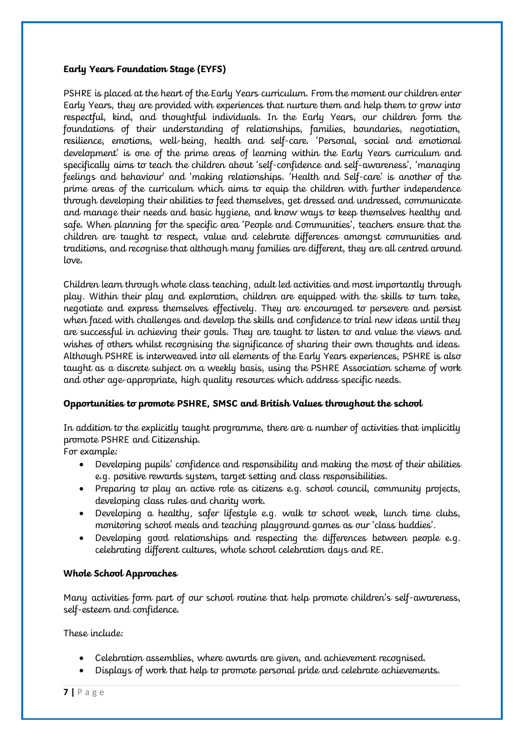### **Early Years Foundation Stage (EYFS)**

PSHRE is placed at the heart of the Early Years curriculum. From the moment our children enter Early Years, they are provided with experiences that nurture them and help them to grow into respectful, kind, and thoughtful individuals. In the Early Years, our children form the foundations of their understanding of relationships, families, boundaries, negotiation, resilience, emotions, well-being, health and self-care. 'Personal, social and emotional development' is one of the prime areas of learning within the Early Years curriculum and specifically aims to teach the children about 'self-confidence and self-awareness', 'managing feelings and behaviour' and 'making relationships. 'Health and Self-care' is another of the prime areas of the curriculum which aims to equip the children with further independence through developing their abilities to feed themselves, get dressed and undressed, communicate and manage their needs and basic hygiene, and know ways to keep themselves healthy and safe. When planning for the specific area 'People and Communities', teachers ensure that the children are taught to respect, value and celebrate differences amongst communities and traditions, and recognise that although many families are different, they are all centred around love.

Children learn through whole class teaching, adult led activities and most importantly through play. Within their play and exploration, children are equipped with the skills to turn take, negotiate and express themselves effectively. They are encouraged to persevere and persist when faced with challenges and develop the skills and confidence to trial new ideas until they are successful in achieving their goals. They are taught to listen to and value the views and wishes of others whilst recognising the significance of sharing their own thoughts and ideas. Although PSHRE is interweaved into all elements of the Early Years experiences, PSHRE is also taught as a discrete subject on a weekly basis, using the PSHRE Association scheme of work and other age-appropriate, high quality resources which address specific needs.

# **Opportunities to promote PSHRE, SMSC and British Values throughout the school**

In addition to the explicitly taught programme, there are a number of activities that implicitly promote PSHRE and Citizenship.

For example:

- Developing pupils' confidence and responsibility and making the most of their abilities e.g. positive rewards system, target setting and class responsibilities.
- Preparing to play an active role as citizens e.g. school council, community projects, developing class rules and charity work.
- Developing a healthy, safer lifestyle e.g. walk to school week, lunch time clubs, monitoring school meals and teaching playground games as our 'class buddies'.
- Developing good relationships and respecting the differences between people e.g. celebrating different cultures, whole school celebration days and RE.

### **Whole School Approaches**

Many activities form part of our school routine that help promote children's self-awareness, self-esteem and confidence.

These include:

- Celebration assemblies, where awards are given, and achievement recognised.
- Displays of work that help to promote personal pride and celebrate achievements.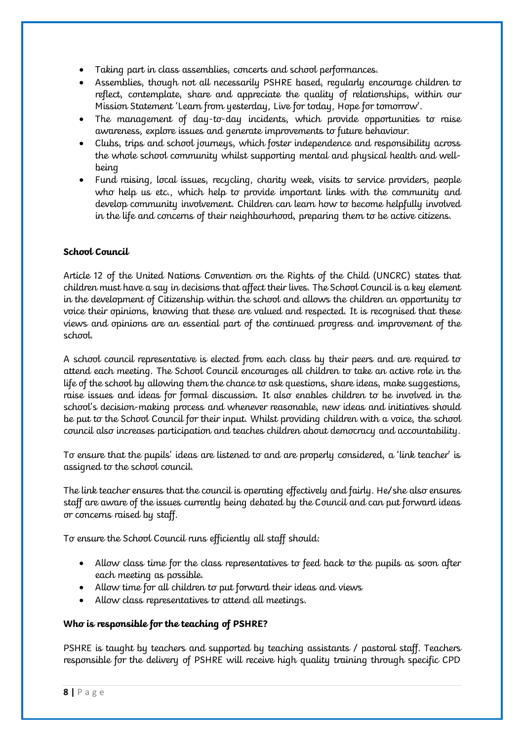- Taking part in class assemblies, concerts and school performances.
- Assemblies, though not all necessarily PSHRE based, regularly encourage children to reflect, contemplate, share and appreciate the quality of relationships, within our Mission Statement 'Learn from yesterday, Live for today, Hope for tomorrow'.
- The management of day-to-day incidents, which provide opportunities to raise awareness, explore issues and generate improvements to future behaviour.
- Clubs, trips and school journeys, which foster independence and responsibility across the whole school community whilst supporting mental and physical health and wellbeing
- Fund raising, local issues, recycling, charity week, visits to service providers, people who help us etc., which help to provide important links with the community and develop community involvement. Children can learn how to become helpfully involved in the life and concerns of their neighbourhood, preparing them to be active citizens.

## **School Council**

Article 12 of the United Nations Convention on the Rights of the Child (UNCRC) states that children must have a say in decisions that affect their lives. The School Council is a key element in the development of Citizenship within the school and allows the children an opportunity to voice their opinions, knowing that these are valued and respected. It is recognised that these views and opinions are an essential part of the continued progress and improvement of the school.

A school council representative is elected from each class by their peers and are required to attend each meeting. The School Council encourages all children to take an active role in the life of the school by allowing them the chance to ask questions, share ideas, make suggestions, raise issues and ideas for formal discussion. It also enables children to be involved in the school's decision-making process and whenever reasonable, new ideas and initiatives should be put to the School Council for their input. Whilst providing children with a voice, the school council also increases participation and teaches children about democracy and accountability.

To ensure that the pupils' ideas are listened to and are properly considered, a 'link teacher' is assigned to the school council.

The link teacher ensures that the council is operating effectively and fairly. He/she also ensures staff are aware of the issues currently being debated by the Council and can put forward ideas or concerns raised by staff.

To ensure the School Council runs efficiently all staff should:

- Allow class time for the class representatives to feed back to the pupils as soon after each meeting as possible.
- Allow time for all children to put forward their ideas and views
- Allow class representatives to attend all meetings.

### **Who is responsible for the teaching of PSHRE?**

PSHRE is taught by teachers and supported by teaching assistants / pastoral staff. Teachers responsible for the delivery of PSHRE will receive high quality training through specific CPD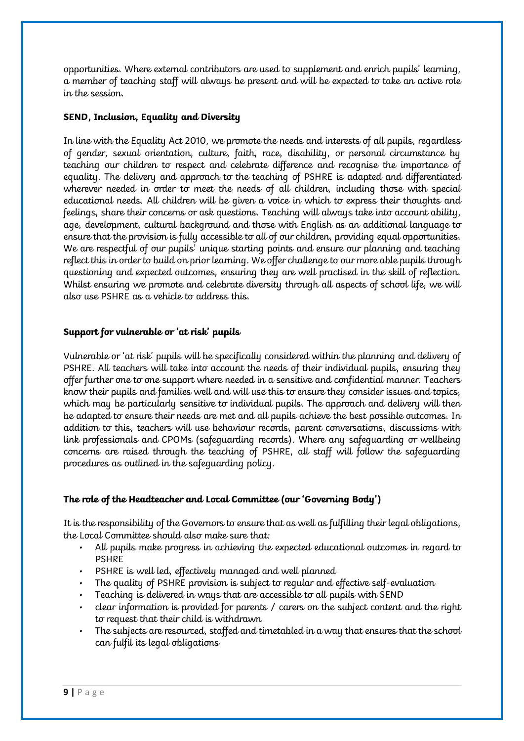opportunities. Where external contributors are used to supplement and enrich pupils' learning, a member of teaching staff will always be present and will be expected to take an active role in the session.

### **SEND, Inclusion, Equality and Diversity**

In line with the Equality Act 2010, we promote the needs and interests of all pupils, regardless of gender, sexual orientation, culture, faith, race, disability, or personal circumstance by teaching our children to respect and celebrate difference and recognise the importance of equality. The delivery and approach to the teaching of PSHRE is adapted and differentiated wherever needed in order to meet the needs of all children, including those with special educational needs. All children will be given a voice in which to express their thoughts and feelings, share their concerns or ask questions. Teaching will always take into account ability, age, development, cultural background and those with English as an additional language to ensure that the provision is fully accessible to all of our children, providing equal opportunities. We are respectful of our pupils<sup>'</sup> unique starting points and ensure our planning and teaching reflect this in order to build on prior learning. We offer challenge to our more able pupils through questioning and expected outcomes, ensuring they are well practised in the skill of reflection. Whilst ensuring we promote and celebrate diversity through all aspects of school life, we will also use PSHRE as a vehicle to address this.

#### **Support for vulnerable or 'at risk' pupils**

Vulnerable or 'at risk' pupils will be specifically considered within the planning and delivery of PSHRE. All teachers will take into account the needs of their individual pupils, ensuring they offer further one to one support where needed in a sensitive and confidential manner. Teachers know their pupils and families well and will use this to ensure they consider issues and topics, which may be particularly sensitive to individual pupils. The approach and delivery will then be adapted to ensure their needs are met and all pupils achieve the best possible outcomes. In addition to this, teachers will use behaviour records, parent conversations, discussions with link professionals and CPOMs (safeguarding records). Where any safeguarding or wellbeing concerns are raised through the teaching of PSHRE, all staff will follow the safeguarding procedures as outlined in the safeguarding policy.

### **The role of the Headteacher and Local Committee (our 'Governing Body')**

It is the responsibility of the Governors to ensure that as well as fulfilling their legal obligations, the Local Committee should also make sure that:

- All pupils make progress in achieving the expected educational outcomes in regard to PSHRE
- PSHRE is well led, effectively managed and well planned
- The quality of PSHRE provision is subject to regular and effective self-evaluation
- Teaching is delivered in ways that are accessible to all pupils with SEND
- clear information is provided for parents / carers on the subject content and the right to request that their child is withdrawn
- The subjects are resourced, staffed and timetabled in a way that ensures that the school can fulfil its legal obligations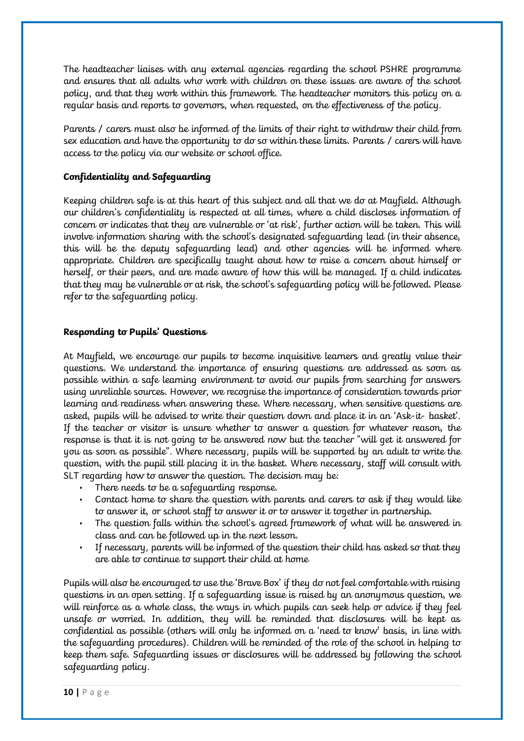The headteacher liaises with any external agencies regarding the school PSHRE programme and ensures that all adults who work with children on these issues are aware of the school policy, and that they work within this framework. The headteacher monitors this policy on a regular basis and reports to governors, when requested, on the effectiveness of the policy.

Parents / carers must also be informed of the limits of their right to withdraw their child from sex education and have the opportunity to do so within these limits. Parents / carers will have access to the policy via our website or school office.

## **Confidentiality and Safeguarding**

Keeping children safe is at this heart of this subject and all that we do at Mayfield. Although our children's confidentiality is respected at all times, where a child discloses information of concern or indicates that they are vulnerable or 'at risk', further action will be taken. This will involve information sharing with the school's designated safeguarding lead (in their absence, this will be the deputy safeguarding lead) and other agencies will be informed where appropriate. Children are specifically taught about how to raise a concern about himself or herself, or their peers, and are made aware of how this will be managed. If a child indicates that they may be vulnerable or at risk, the school's safeguarding policy will be followed. Please refer to the safeguarding policy.

### **Responding to Pupils' Questions**

At Mayfield, we encourage our pupils to become inquisitive learners and greatly value their questions. We understand the importance of ensuring questions are addressed as soon as possible within a safe learning environment to avoid our pupils from searching for answers using unreliable sources. However, we recognise the importance of consideration towards prior learning and readiness when answering these. Where necessary, when sensitive questions are asked, pupils will be advised to write their question down and place it in an 'Ask-it- basket'. If the teacher or visitor is unsure whether to answer a question for whatever reason, the response is that it is not going to be answered now but the teacher "will get it answered for you as soon as possible". Where necessary, pupils will be supported by an adult to write the question, with the pupil still placing it in the basket. Where necessary, staff will consult with SLT regarding how to answer the question. The decision may be:

- There needs to be a safequarding response.
- Contact home to share the question with parents and carers to ask if they would like to answer it, or school staff to answer it or to answer it together in partnership.
- The question falls within the school's agreed framework of what will be answered in class and can be followed up in the next lesson.
- If necessary, parents will be informed of the question their child has asked so that they are able to continue to support their child at home

Pupils will also be encouraged to use the 'Brave Box' if they do not feel comfortable with raising questions in an open setting. If a safeguarding issue is raised by an anonymous question, we will reinforce as a whole class, the ways in which pupils can seek help or advice if they feel unsafe or worried. In addition, they will be reminded that disclosures will be kept as confidential as possible (others will only be informed on a 'need to know' basis, in line with the safeguarding procedures). Children will be reminded of the role of the school in helping to keep them safe. Safeguarding issues or disclosures will be addressed by following the school safeguarding policy.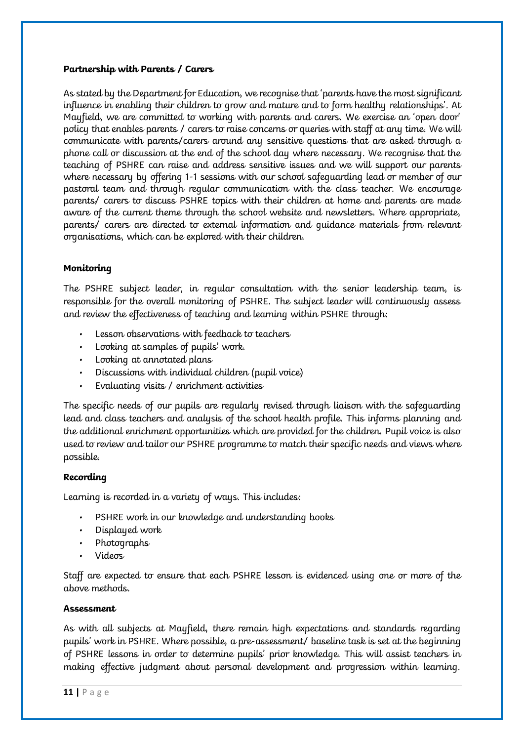#### **Partnership with Parents / Carers**

As stated by the Department for Education, we recognise that 'parents have the most significant influence in enabling their children to grow and mature and to form healthy relationships'. At Mayfield, we are committed to working with parents and carers. We exercise an 'open door' policy that enables parents / carers to raise concerns or queries with staff at any time. We will communicate with parents/carers around any sensitive questions that are asked through a phone call or discussion at the end of the school day where necessary. We recognise that the teaching of PSHRE can raise and address sensitive issues and we will support our parents where necessary by offering 1-1 sessions with our school safeguarding lead or member of our pastoral team and through regular communication with the class teacher. We encourage parents/ carers to discuss PSHRE topics with their children at home and parents are made aware of the current theme through the school website and newsletters. Where appropriate, parents/ carers are directed to external information and guidance materials from relevant organisations, which can be explored with their children.

### **Monitoring**

The PSHRE subject leader, in regular consultation with the senior leadership team, is responsible for the overall monitoring of PSHRE. The subject leader will continuously assess and review the effectiveness of teaching and learning within PSHRE through:

- Lesson observations with feedback to teachers
- Looking at samples of pupils' work.
- Looking at annotated plans
- Discussions with individual children (pupil voice)
- Evaluating visits / enrichment activities

The specific needs of our pupils are regularly revised through liaison with the safeguarding lead and class teachers and analysis of the school health profile. This informs planning and the additional enrichment opportunities which are provided for the children. Pupil voice is also used to review and tailor our PSHRE programme to match their specific needs and views where possible.

### **Recording**

Learning is recorded in a variety of ways. This includes:

- PSHRE work in our knowledge and understanding books
- Displayed work
- Photographs
- Videos

Staff are expected to ensure that each PSHRE lesson is evidenced using one or more of the above methods.

### **Assessment**

As with all subjects at Mayfield, there remain high expectations and standards regarding pupils' work in PSHRE. Where possible, a pre-assessment/ baseline task is set at the beginning of PSHRE lessons in order to determine pupils' prior knowledge. This will assist teachers in making effective judgment about personal development and progression within learning.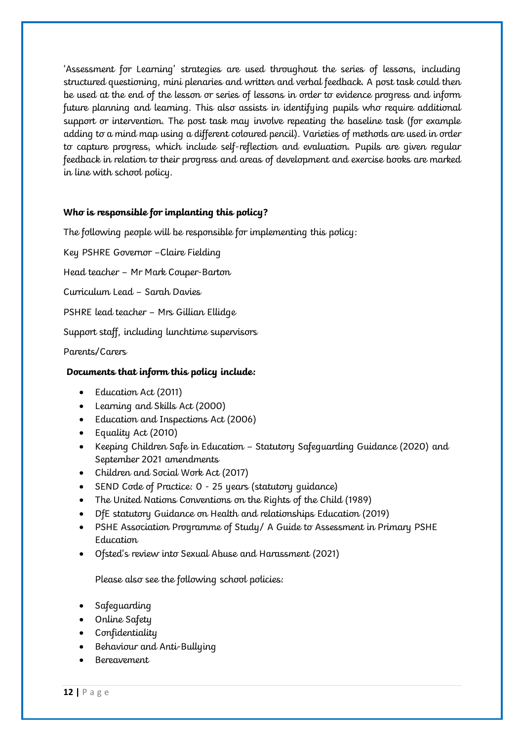'Assessment for Learning' strategies are used throughout the series of lessons, including structured questioning, mini plenaries and written and verbal feedback. A post task could then be used at the end of the lesson or series of lessons in order to evidence progress and inform future planning and learning. This also assists in identifying pupils who require additional support or intervention. The post task may involve repeating the baseline task (for example adding to a mind map using a different coloured pencil). Varieties of methods are used in order to capture progress, which include self-reflection and evaluation. Pupils are given regular feedback in relation to their progress and areas of development and exercise books are marked in line with school policy.

## **Who is responsible for implanting this policy?**

The following people will be responsible for implementing this policy:

Key PSHRE Governor –Claire Fielding

Head teacher – Mr Mark Couper-Barton

Curriculum Lead – Sarah Davies

PSHRE lead teacher – Mrs Gillian Ellidge

Support staff, including lunchtime supervisors

Parents/Carers

### **Documents that inform this policy include:**

- Education Act (2011)
- Learning and Skills Act (2000)
- Education and Inspections Act (2006)
- Equality Act (2010)
- Keeping Children Safe in Education Statutory Safeguarding Guidance (2020) and September 2021 amendments
- Children and Social Work Act (2017)
- SEND Code of Practice: 0 25 years (statutory guidance)
- The United Nations Conventions on the Rights of the Child (1989)
- DfE statutory Guidance on Health and relationships Education (2019)
- PSHE Association Programme of Study/ A Guide to Assessment in Primary PSHE Education
- Ofsted's review into Sexual Abuse and Harassment (2021)

Please also see the following school policies:

- Safeguarding
- Online Safety
- Confidentiality
- Behaviour and Anti-Bullying
- Bereavement